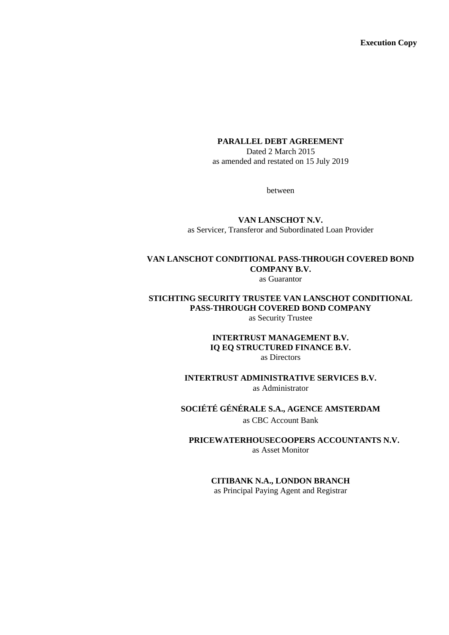**Execution Copy**

#### **PARALLEL DEBT AGREEMENT**

Dated 2 March 2015 as amended and restated on 15 July 2019

between

**VAN LANSCHOT N.V.** as Servicer, Transferor and Subordinated Loan Provider

# **VAN LANSCHOT CONDITIONAL PASS-THROUGH COVERED BOND COMPANY B.V.**

as Guarantor

# **STICHTING SECURITY TRUSTEE VAN LANSCHOT CONDITIONAL PASS-THROUGH COVERED BOND COMPANY**

as Security Trustee

#### **INTERTRUST MANAGEMENT B.V. IQ EQ STRUCTURED FINANCE B.V.** as Directors

**INTERTRUST ADMINISTRATIVE SERVICES B.V.** as Administrator

# **SOCIÉTÉ GÉNÉRALE S.A., AGENCE AMSTERDAM**

as CBC Account Bank

**PRICEWATERHOUSECOOPERS ACCOUNTANTS N.V.** as Asset Monitor

#### **CITIBANK N.A., LONDON BRANCH**

as Principal Paying Agent and Registrar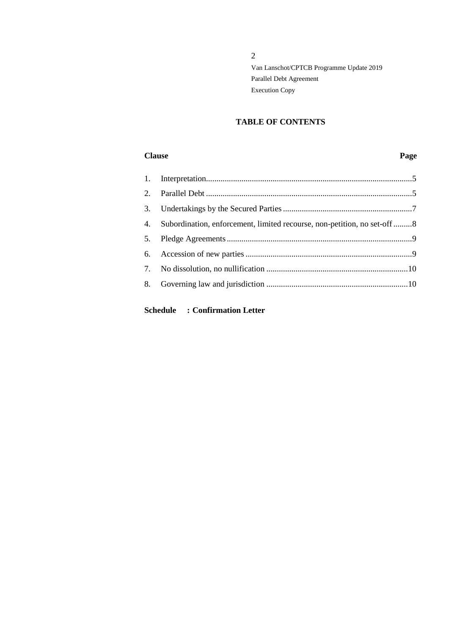## **TABLE OF CONTENTS**

#### **Clause Page**

| 4. Subordination, enforcement, limited recourse, non-petition, no set-off 8 |  |
|-----------------------------------------------------------------------------|--|
|                                                                             |  |
|                                                                             |  |
|                                                                             |  |
|                                                                             |  |

# **Schedule : Confirmation Letter**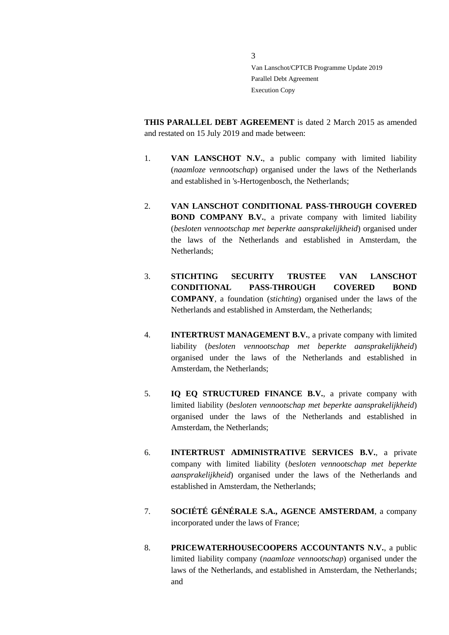**THIS PARALLEL DEBT AGREEMENT** is dated 2 March 2015 as amended and restated on 15 July 2019 and made between:

- 1. **VAN LANSCHOT N.V.**, a public company with limited liability (*naamloze vennootschap*) organised under the laws of the Netherlands and established in 's-Hertogenbosch, the Netherlands;
- 2. **VAN LANSCHOT CONDITIONAL PASS-THROUGH COVERED BOND COMPANY B.V.**, a private company with limited liability (*besloten vennootschap met beperkte aansprakelijkheid*) organised under the laws of the Netherlands and established in Amsterdam, the Netherlands;
- 3. **STICHTING SECURITY TRUSTEE VAN LANSCHOT CONDITIONAL PASS-THROUGH COVERED BOND COMPANY**, a foundation (*stichting*) organised under the laws of the Netherlands and established in Amsterdam, the Netherlands;
- 4. **INTERTRUST MANAGEMENT B.V.**, a private company with limited liability (*besloten vennootschap met beperkte aansprakelijkheid*) organised under the laws of the Netherlands and established in Amsterdam, the Netherlands;
- 5. **IQ EQ STRUCTURED FINANCE B.V.**, a private company with limited liability (*besloten vennootschap met beperkte aansprakelijkheid*) organised under the laws of the Netherlands and established in Amsterdam, the Netherlands;
- 6. **INTERTRUST ADMINISTRATIVE SERVICES B.V.**, a private company with limited liability (*besloten vennootschap met beperkte aansprakelijkheid*) organised under the laws of the Netherlands and established in Amsterdam, the Netherlands;
- 7. **SOCIÉTÉ GÉNÉRALE S.A., AGENCE AMSTERDAM**, a company incorporated under the laws of France;
- 8. **PRICEWATERHOUSECOOPERS ACCOUNTANTS N.V.**, a public limited liability company (*naamloze vennootschap*) organised under the laws of the Netherlands, and established in Amsterdam, the Netherlands; and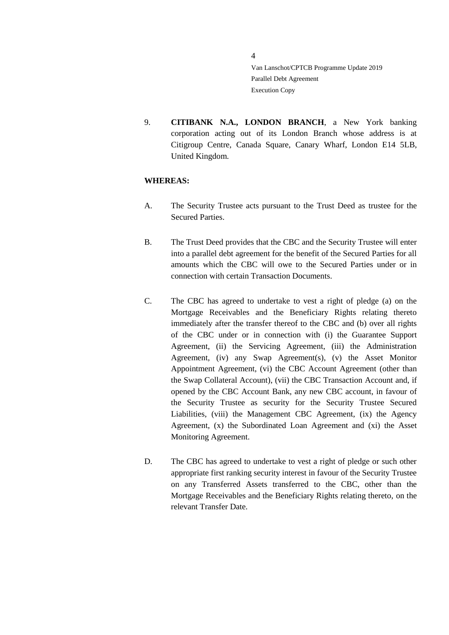9. **CITIBANK N.A., LONDON BRANCH**, a New York banking corporation acting out of its London Branch whose address is at Citigroup Centre, Canada Square, Canary Wharf, London E14 5LB, United Kingdom.

## **WHEREAS:**

- A. The Security Trustee acts pursuant to the Trust Deed as trustee for the Secured Parties.
- B. The Trust Deed provides that the CBC and the Security Trustee will enter into a parallel debt agreement for the benefit of the Secured Parties for all amounts which the CBC will owe to the Secured Parties under or in connection with certain Transaction Documents.
- C. The CBC has agreed to undertake to vest a right of pledge (a) on the Mortgage Receivables and the Beneficiary Rights relating thereto immediately after the transfer thereof to the CBC and (b) over all rights of the CBC under or in connection with (i) the Guarantee Support Agreement, (ii) the Servicing Agreement, (iii) the Administration Agreement, (iv) any Swap Agreement(s), (v) the Asset Monitor Appointment Agreement, (vi) the CBC Account Agreement (other than the Swap Collateral Account), (vii) the CBC Transaction Account and, if opened by the CBC Account Bank, any new CBC account, in favour of the Security Trustee as security for the Security Trustee Secured Liabilities, (viii) the Management CBC Agreement, (ix) the Agency Agreement, (x) the Subordinated Loan Agreement and (xi) the Asset Monitoring Agreement.
- D. The CBC has agreed to undertake to vest a right of pledge or such other appropriate first ranking security interest in favour of the Security Trustee on any Transferred Assets transferred to the CBC, other than the Mortgage Receivables and the Beneficiary Rights relating thereto, on the relevant Transfer Date.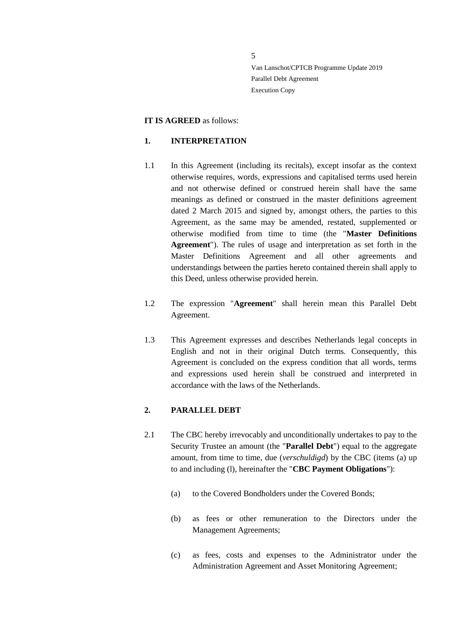#### **IT IS AGREED** as follows:

#### <span id="page-4-0"></span>**1. INTERPRETATION**

- 1.1 In this Agreement (including its recitals), except insofar as the context otherwise requires, words, expressions and capitalised terms used herein and not otherwise defined or construed herein shall have the same meanings as defined or construed in the master definitions agreement dated 2 March 2015 and signed by, amongst others, the parties to this Agreement, as the same may be amended, restated, supplemented or otherwise modified from time to time (the "**Master Definitions Agreement**"). The rules of usage and interpretation as set forth in the Master Definitions Agreement and all other agreements and understandings between the parties hereto contained therein shall apply to this Deed, unless otherwise provided herein.
- 1.2 The expression "**Agreement**" shall herein mean this Parallel Debt Agreement.
- 1.3 This Agreement expresses and describes Netherlands legal concepts in English and not in their original Dutch terms. Consequently, this Agreement is concluded on the express condition that all words, terms and expressions used herein shall be construed and interpreted in accordance with the laws of the Netherlands.

### <span id="page-4-1"></span>**2. PARALLEL DEBT**

- 2.1 The CBC hereby irrevocably and unconditionally undertakes to pay to the Security Trustee an amount (the "**Parallel Debt**") equal to the aggregate amount, from time to time, due (*verschuldigd*) by the CBC (items (a) up to and including (l), hereinafter the "**CBC Payment Obligations**"):
	- (a) to the Covered Bondholders under the Covered Bonds;
	- (b) as fees or other remuneration to the Directors under the Management Agreements;
	- (c) as fees, costs and expenses to the Administrator under the Administration Agreement and Asset Monitoring Agreement;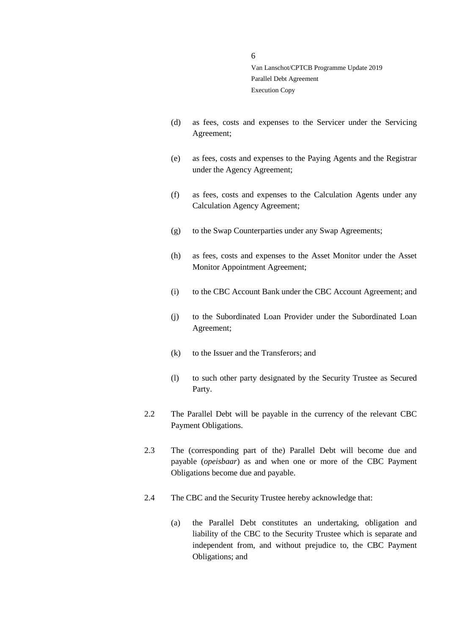- (d) as fees, costs and expenses to the Servicer under the Servicing Agreement;
- (e) as fees, costs and expenses to the Paying Agents and the Registrar under the Agency Agreement;
- (f) as fees, costs and expenses to the Calculation Agents under any Calculation Agency Agreement;
- (g) to the Swap Counterparties under any Swap Agreements;
- (h) as fees, costs and expenses to the Asset Monitor under the Asset Monitor Appointment Agreement;
- (i) to the CBC Account Bank under the CBC Account Agreement; and
- (j) to the Subordinated Loan Provider under the Subordinated Loan Agreement;
- (k) to the Issuer and the Transferors; and
- (l) to such other party designated by the Security Trustee as Secured Party.
- 2.2 The Parallel Debt will be payable in the currency of the relevant CBC Payment Obligations.
- 2.3 The (corresponding part of the) Parallel Debt will become due and payable (*opeisbaar*) as and when one or more of the CBC Payment Obligations become due and payable.
- 2.4 The CBC and the Security Trustee hereby acknowledge that:
	- (a) the Parallel Debt constitutes an undertaking, obligation and liability of the CBC to the Security Trustee which is separate and independent from, and without prejudice to, the CBC Payment Obligations; and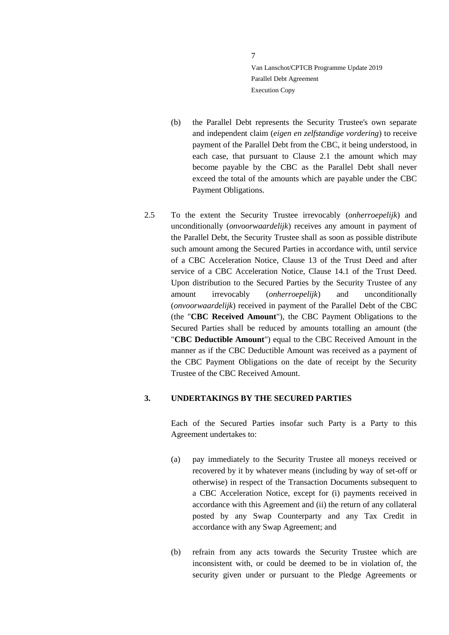- (b) the Parallel Debt represents the Security Trustee's own separate and independent claim (*eigen en zelfstandige vordering*) to receive payment of the Parallel Debt from the CBC, it being understood, in each case, that pursuant to Clause 2.1 the amount which may become payable by the CBC as the Parallel Debt shall never exceed the total of the amounts which are payable under the CBC Payment Obligations.
- 2.5 To the extent the Security Trustee irrevocably (*onherroepelijk*) and unconditionally (*onvoorwaardelijk*) receives any amount in payment of the Parallel Debt, the Security Trustee shall as soon as possible distribute such amount among the Secured Parties in accordance with, until service of a CBC Acceleration Notice, Clause 13 of the Trust Deed and after service of a CBC Acceleration Notice, Clause 14.1 of the Trust Deed. Upon distribution to the Secured Parties by the Security Trustee of any amount irrevocably (*onherroepelijk*) and unconditionally (*onvoorwaardelijk*) received in payment of the Parallel Debt of the CBC (the "**CBC Received Amount**"), the CBC Payment Obligations to the Secured Parties shall be reduced by amounts totalling an amount (the "**CBC Deductible Amount**") equal to the CBC Received Amount in the manner as if the CBC Deductible Amount was received as a payment of the CBC Payment Obligations on the date of receipt by the Security Trustee of the CBC Received Amount.

#### <span id="page-6-0"></span>**3. UNDERTAKINGS BY THE SECURED PARTIES**

Each of the Secured Parties insofar such Party is a Party to this Agreement undertakes to:

- (a) pay immediately to the Security Trustee all moneys received or recovered by it by whatever means (including by way of set-off or otherwise) in respect of the Transaction Documents subsequent to a CBC Acceleration Notice, except for (i) payments received in accordance with this Agreement and (ii) the return of any collateral posted by any Swap Counterparty and any Tax Credit in accordance with any Swap Agreement; and
- (b) refrain from any acts towards the Security Trustee which are inconsistent with, or could be deemed to be in violation of, the security given under or pursuant to the Pledge Agreements or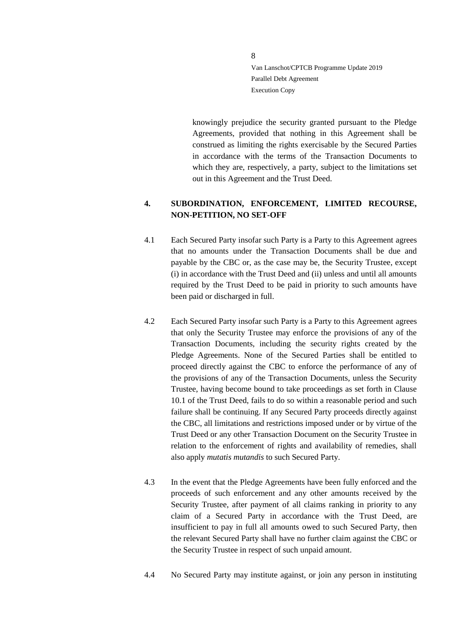knowingly prejudice the security granted pursuant to the Pledge Agreements, provided that nothing in this Agreement shall be construed as limiting the rights exercisable by the Secured Parties in accordance with the terms of the Transaction Documents to which they are, respectively, a party, subject to the limitations set out in this Agreement and the Trust Deed.

# <span id="page-7-0"></span>**4. SUBORDINATION, ENFORCEMENT, LIMITED RECOURSE, NON-PETITION, NO SET-OFF**

- 4.1 Each Secured Party insofar such Party is a Party to this Agreement agrees that no amounts under the Transaction Documents shall be due and payable by the CBC or, as the case may be, the Security Trustee, except (i) in accordance with the Trust Deed and (ii) unless and until all amounts required by the Trust Deed to be paid in priority to such amounts have been paid or discharged in full.
- 4.2 Each Secured Party insofar such Party is a Party to this Agreement agrees that only the Security Trustee may enforce the provisions of any of the Transaction Documents, including the security rights created by the Pledge Agreements. None of the Secured Parties shall be entitled to proceed directly against the CBC to enforce the performance of any of the provisions of any of the Transaction Documents, unless the Security Trustee, having become bound to take proceedings as set forth in Clause 10.1 of the Trust Deed, fails to do so within a reasonable period and such failure shall be continuing. If any Secured Party proceeds directly against the CBC, all limitations and restrictions imposed under or by virtue of the Trust Deed or any other Transaction Document on the Security Trustee in relation to the enforcement of rights and availability of remedies, shall also apply *mutatis mutandis* to such Secured Party.
- 4.3 In the event that the Pledge Agreements have been fully enforced and the proceeds of such enforcement and any other amounts received by the Security Trustee, after payment of all claims ranking in priority to any claim of a Secured Party in accordance with the Trust Deed, are insufficient to pay in full all amounts owed to such Secured Party, then the relevant Secured Party shall have no further claim against the CBC or the Security Trustee in respect of such unpaid amount.
- 4.4 No Secured Party may institute against, or join any person in instituting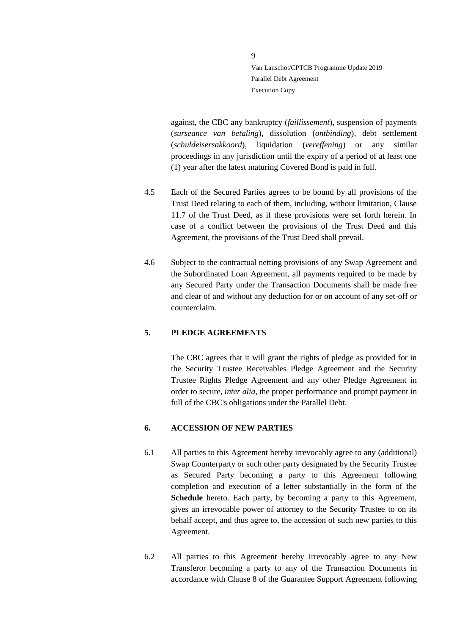against, the CBC any bankruptcy (*faillissement*), suspension of payments (*surseance van betaling*), dissolution (*ontbinding*), debt settlement (*schuldeisersakkoord*), liquidation (*vereffening*) or any similar proceedings in any jurisdiction until the expiry of a period of at least one (1) year after the latest maturing Covered Bond is paid in full.

- 4.5 Each of the Secured Parties agrees to be bound by all provisions of the Trust Deed relating to each of them, including, without limitation, Clause 11.7 of the Trust Deed, as if these provisions were set forth herein. In case of a conflict between the provisions of the Trust Deed and this Agreement, the provisions of the Trust Deed shall prevail.
- 4.6 Subject to the contractual netting provisions of any Swap Agreement and the Subordinated Loan Agreement, all payments required to be made by any Secured Party under the Transaction Documents shall be made free and clear of and without any deduction for or on account of any set-off or counterclaim.

#### <span id="page-8-0"></span>**5. PLEDGE AGREEMENTS**

The CBC agrees that it will grant the rights of pledge as provided for in the Security Trustee Receivables Pledge Agreement and the Security Trustee Rights Pledge Agreement and any other Pledge Agreement in order to secure, *inter alia*, the proper performance and prompt payment in full of the CBC's obligations under the Parallel Debt.

#### <span id="page-8-1"></span>**6. ACCESSION OF NEW PARTIES**

- 6.1 All parties to this Agreement hereby irrevocably agree to any (additional) Swap Counterparty or such other party designated by the Security Trustee as Secured Party becoming a party to this Agreement following completion and execution of a letter substantially in the form of the **Schedule** hereto. Each party, by becoming a party to this Agreement, gives an irrevocable power of attorney to the Security Trustee to on its behalf accept, and thus agree to, the accession of such new parties to this Agreement.
- 6.2 All parties to this Agreement hereby irrevocably agree to any New Transferor becoming a party to any of the Transaction Documents in accordance with Clause 8 of the Guarantee Support Agreement following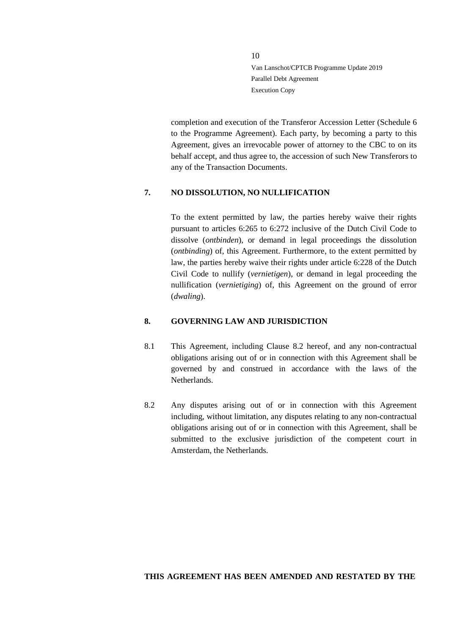completion and execution of the Transferor Accession Letter (Schedule 6 to the Programme Agreement). Each party, by becoming a party to this Agreement, gives an irrevocable power of attorney to the CBC to on its behalf accept, and thus agree to, the accession of such New Transferors to any of the Transaction Documents.

#### <span id="page-9-0"></span>**7. NO DISSOLUTION, NO NULLIFICATION**

To the extent permitted by law, the parties hereby waive their rights pursuant to articles 6:265 to 6:272 inclusive of the Dutch Civil Code to dissolve (*ontbinden*), or demand in legal proceedings the dissolution (*ontbinding*) of, this Agreement. Furthermore, to the extent permitted by law, the parties hereby waive their rights under article 6:228 of the Dutch Civil Code to nullify (*vernietigen*), or demand in legal proceeding the nullification (*vernietiging*) of, this Agreement on the ground of error (*dwaling*).

#### <span id="page-9-1"></span>**8. GOVERNING LAW AND JURISDICTION**

- 8.1 This Agreement, including Clause [8.2](#page-9-2) hereof, and any non-contractual obligations arising out of or in connection with this Agreement shall be governed by and construed in accordance with the laws of the Netherlands.
- <span id="page-9-2"></span>8.2 Any disputes arising out of or in connection with this Agreement including, without limitation, any disputes relating to any non-contractual obligations arising out of or in connection with this Agreement, shall be submitted to the exclusive jurisdiction of the competent court in Amsterdam, the Netherlands.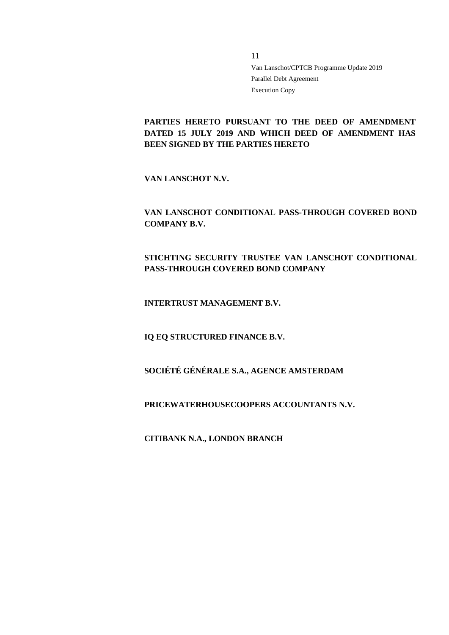# **PARTIES HERETO PURSUANT TO THE DEED OF AMENDMENT DATED 15 JULY 2019 AND WHICH DEED OF AMENDMENT HAS BEEN SIGNED BY THE PARTIES HERETO**

**VAN LANSCHOT N.V.**

**VAN LANSCHOT CONDITIONAL PASS-THROUGH COVERED BOND COMPANY B.V.**

**STICHTING SECURITY TRUSTEE VAN LANSCHOT CONDITIONAL PASS-THROUGH COVERED BOND COMPANY**

**INTERTRUST MANAGEMENT B.V.**

**IQ EQ STRUCTURED FINANCE B.V.**

**SOCIÉTÉ GÉNÉRALE S.A., AGENCE AMSTERDAM** 

**PRICEWATERHOUSECOOPERS ACCOUNTANTS N.V.**

**CITIBANK N.A., LONDON BRANCH**